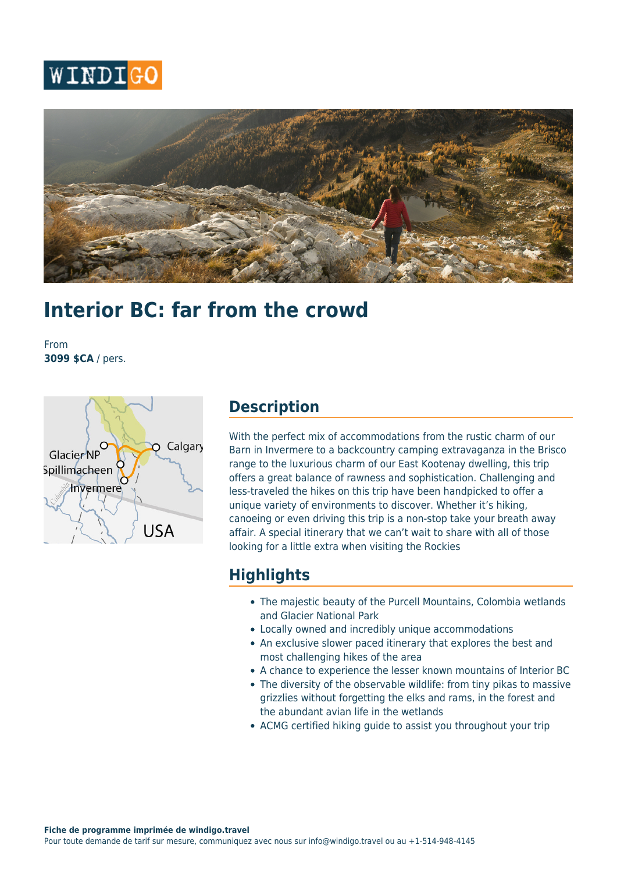



# **Interior BC: far from the crowd**

From **3099 \$CA** / pers.



## **Description**

With the perfect mix of accommodations from the rustic charm of our Barn in Invermere to a backcountry camping extravaganza in the Brisco range to the luxurious charm of our East Kootenay dwelling, this trip offers a great balance of rawness and sophistication. Challenging and less-traveled the hikes on this trip have been handpicked to offer a unique variety of environments to discover. Whether it's hiking, canoeing or even driving this trip is a non-stop take your breath away affair. A special itinerary that we can't wait to share with all of those looking for a little extra when visiting the Rockies

## **Highlights**

- The majestic beauty of the Purcell Mountains, Colombia wetlands and Glacier National Park
- Locally owned and incredibly unique accommodations
- An exclusive slower paced itinerary that explores the best and most challenging hikes of the area
- A chance to experience the lesser known mountains of Interior BC
- The diversity of the observable wildlife: from tiny pikas to massive grizzlies without forgetting the elks and rams, in the forest and the abundant avian life in the wetlands
- ACMG certified hiking guide to assist you throughout your trip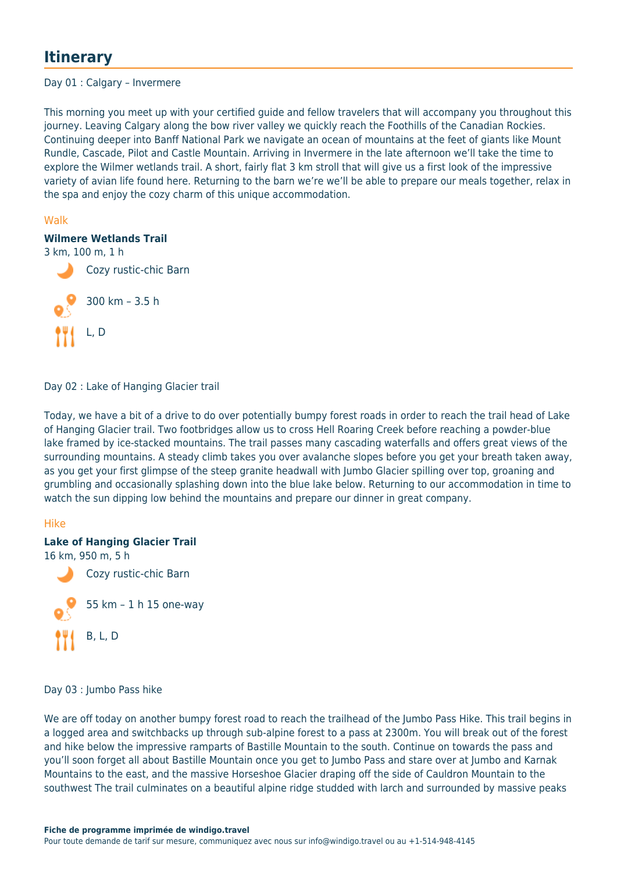# **Itinerary**

#### Day 01 : Calgary – Invermere

This morning you meet up with your certified guide and fellow travelers that will accompany you throughout this journey. Leaving Calgary along the bow river valley we quickly reach the Foothills of the Canadian Rockies. Continuing deeper into Banff National Park we navigate an ocean of mountains at the feet of giants like Mount Rundle, Cascade, Pilot and Castle Mountain. Arriving in Invermere in the late afternoon we'll take the time to explore the Wilmer wetlands trail. A short, fairly flat 3 km stroll that will give us a first look of the impressive variety of avian life found here. Returning to the barn we're we'll be able to prepare our meals together, relax in the spa and enjoy the cozy charm of this unique accommodation.

#### Walk

#### **Wilmere Wetlands Trail**



Day 02 : Lake of Hanging Glacier trail

Today, we have a bit of a drive to do over potentially bumpy forest roads in order to reach the trail head of Lake of Hanging Glacier trail. Two footbridges allow us to cross Hell Roaring Creek before reaching a powder-blue lake framed by ice-stacked mountains. The trail passes many cascading waterfalls and offers great views of the surrounding mountains. A steady climb takes you over avalanche slopes before you get your breath taken away, as you get your first glimpse of the steep granite headwall with Jumbo Glacier spilling over top, groaning and grumbling and occasionally splashing down into the blue lake below. Returning to our accommodation in time to watch the sun dipping low behind the mountains and prepare our dinner in great company.

#### Hike

#### **Lake of Hanging Glacier Trail**

16 km, 950 m, 5 h



Day 03 : Jumbo Pass hike

We are off today on another bumpy forest road to reach the trailhead of the Jumbo Pass Hike. This trail begins in a logged area and switchbacks up through sub-alpine forest to a pass at 2300m. You will break out of the forest and hike below the impressive ramparts of Bastille Mountain to the south. Continue on towards the pass and you'll soon forget all about Bastille Mountain once you get to Jumbo Pass and stare over at Jumbo and Karnak Mountains to the east, and the massive Horseshoe Glacier draping off the side of Cauldron Mountain to the southwest The trail culminates on a beautiful alpine ridge studded with larch and surrounded by massive peaks

#### **Fiche de programme imprimée de windigo.travel**

Pour toute demande de tarif sur mesure, communiquez avec nous sur info@windigo.travel ou au +1-514-948-4145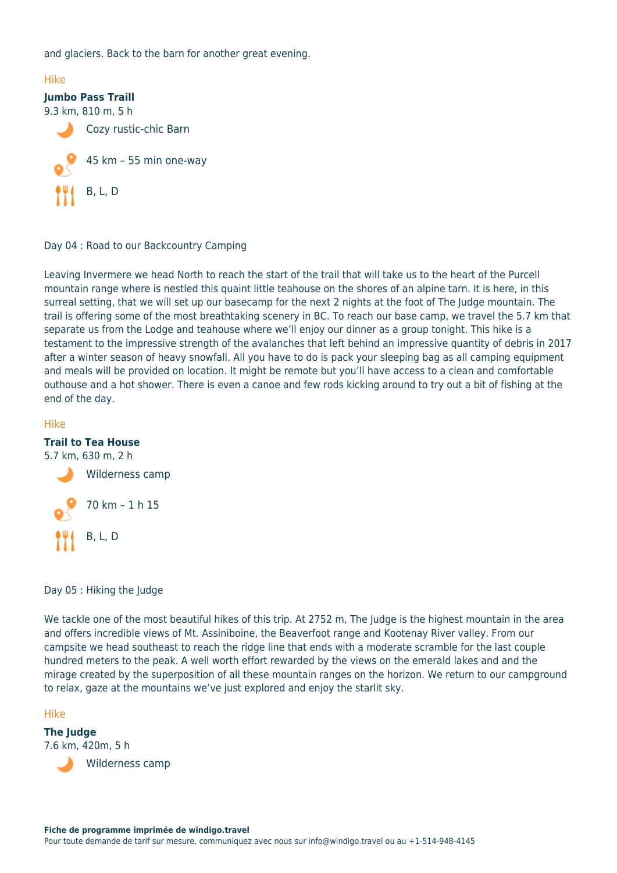and glaciers. Back to the barn for another great evening.



Day 04 : Road to our Backcountry Camping

Leaving Invermere we head North to reach the start of the trail that will take us to the heart of the Purcell mountain range where is nestled this quaint little teahouse on the shores of an alpine tarn. It is here, in this surreal setting, that we will set up our basecamp for the next 2 nights at the foot of The Judge mountain. The trail is offering some of the most breathtaking scenery in BC. To reach our base camp, we travel the 5.7 km that separate us from the Lodge and teahouse where we'll enjoy our dinner as a group tonight. This hike is a testament to the impressive strength of the avalanches that left behind an impressive quantity of debris in 2017 after a winter season of heavy snowfall. All you have to do is pack your sleeping bag as all camping equipment and meals will be provided on location. It might be remote but you'll have access to a clean and comfortable outhouse and a hot shower. There is even a canoe and few rods kicking around to try out a bit of fishing at the end of the day.

#### Hike

#### **Trail to Tea House**

5.7 km, 630 m, 2 h



Day 05 : Hiking the Judge

We tackle one of the most beautiful hikes of this trip. At 2752 m, The Judge is the highest mountain in the area and offers incredible views of Mt. Assiniboine, the Beaverfoot range and Kootenay River valley. From our campsite we head southeast to reach the ridge line that ends with a moderate scramble for the last couple hundred meters to the peak. A well worth effort rewarded by the views on the emerald lakes and and the mirage created by the superposition of all these mountain ranges on the horizon. We return to our campground to relax, gaze at the mountains we've just explored and enjoy the starlit sky.

#### Hike

**The Judge** 7.6 km, 420m, 5 h



Wilderness camp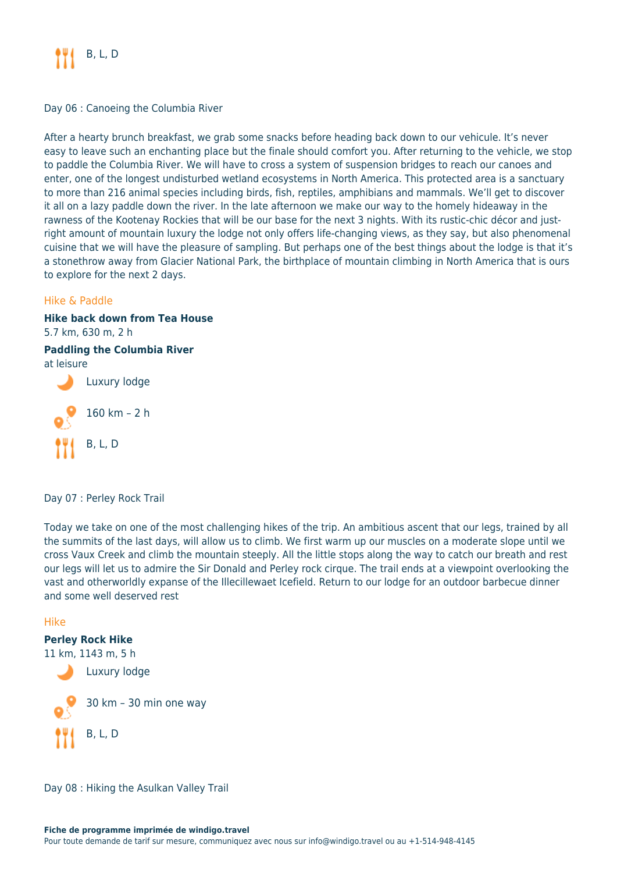

Day 06 : Canoeing the Columbia River

After a hearty brunch breakfast, we grab some snacks before heading back down to our vehicule. It's never easy to leave such an enchanting place but the finale should comfort you. After returning to the vehicle, we stop to paddle the Columbia River. We will have to cross a system of suspension bridges to reach our canoes and enter, one of the longest undisturbed wetland ecosystems in North America. This protected area is a sanctuary to more than 216 animal species including birds, fish, reptiles, amphibians and mammals. We'll get to discover it all on a lazy paddle down the river. In the late afternoon we make our way to the homely hideaway in the rawness of the Kootenay Rockies that will be our base for the next 3 nights. With its rustic-chic décor and justright amount of mountain luxury the lodge not only offers life-changing views, as they say, but also phenomenal cuisine that we will have the pleasure of sampling. But perhaps one of the best things about the lodge is that it's a stonethrow away from Glacier National Park, the birthplace of mountain climbing in North America that is ours to explore for the next 2 days.

#### Hike & Paddle

# **Hike back down from Tea House** 5.7 km, 630 m, 2 h **Paddling the Columbia River** at leisure Luxury lodge 160 km – 2 h B, L, D

Day 07 : Perley Rock Trail

Today we take on one of the most challenging hikes of the trip. An ambitious ascent that our legs, trained by all the summits of the last days, will allow us to climb. We first warm up our muscles on a moderate slope until we cross Vaux Creek and climb the mountain steeply. All the little stops along the way to catch our breath and rest our legs will let us to admire the Sir Donald and Perley rock cirque. The trail ends at a viewpoint overlooking the vast and otherworldly expanse of the Illecillewaet Icefield. Return to our lodge for an outdoor barbecue dinner and some well deserved rest

#### Hike

#### **Perley Rock Hike** 11 km, 1143 m, 5 h



Day 08 : Hiking the Asulkan Valley Trail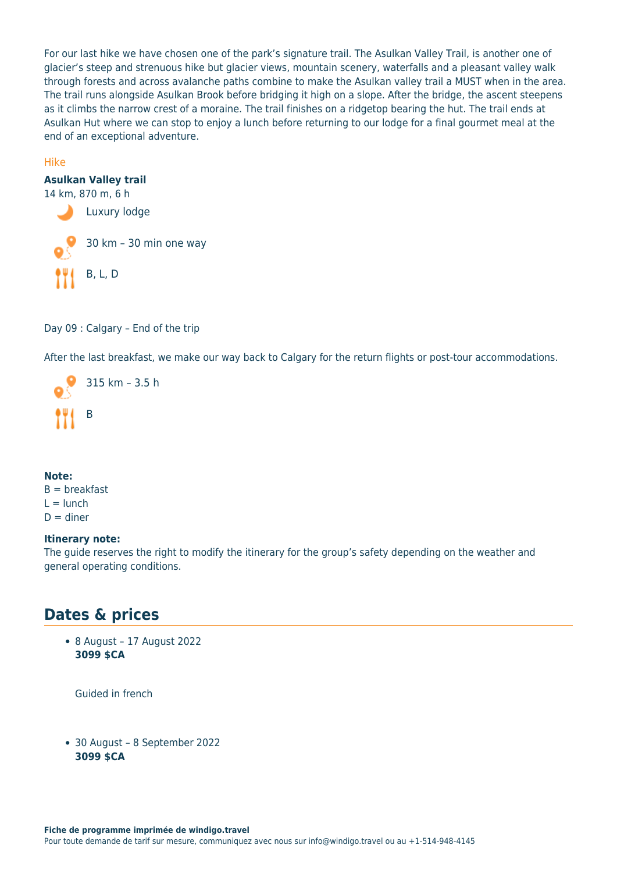For our last hike we have chosen one of the park's signature trail. The Asulkan Valley Trail, is another one of glacier's steep and strenuous hike but glacier views, mountain scenery, waterfalls and a pleasant valley walk through forests and across avalanche paths combine to make the Asulkan valley trail a MUST when in the area. The trail runs alongside Asulkan Brook before bridging it high on a slope. After the bridge, the ascent steepens as it climbs the narrow crest of a moraine. The trail finishes on a ridgetop bearing the hut. The trail ends at Asulkan Hut where we can stop to enjoy a lunch before returning to our lodge for a final gourmet meal at the end of an exceptional adventure.

#### Hike

#### **Asulkan Valley trail**



Day 09 : Calgary – End of the trip

After the last breakfast, we make our way back to Calgary for the return flights or post-tour accommodations.



#### **Note:**  $B = b$ reakfast  $L =$ lunch  $D =$  diner

#### **Itinerary note:**

The guide reserves the right to modify the itinerary for the group's safety depending on the weather and general operating conditions.

# **Dates & prices**

8 August – 17 August 2022 **3099 \$CA**

Guided in french

30 August – 8 September 2022 **3099 \$CA**